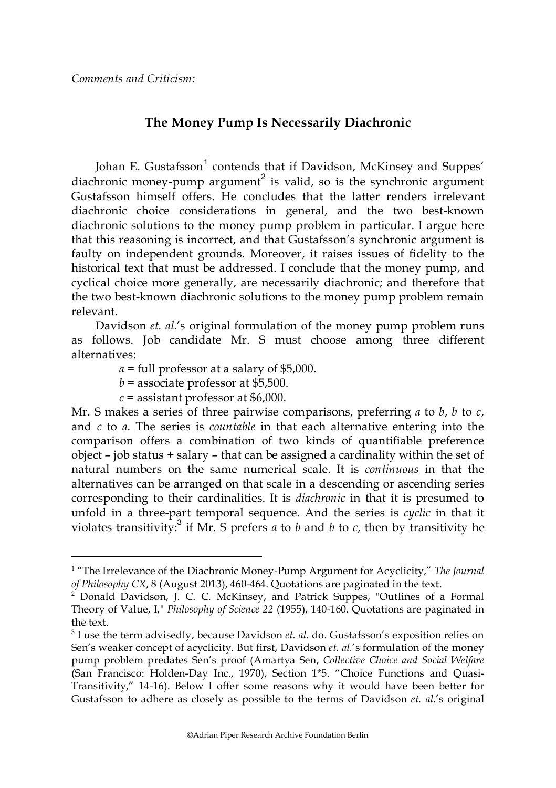## **The Money Pump Is Necessarily Diachronic**

Johan E. Gustafsson<sup>1</sup> contends that if Davidson, McKinsey and Suppes' diachronic money-pump argument<sup>2</sup> is valid, so is the synchronic argument Gustafsson himself offers. He concludes that the latter renders irrelevant diachronic choice considerations in general, and the two best-known diachronic solutions to the money pump problem in particular. I argue here that this reasoning is incorrect, and that Gustafsson's synchronic argument is faulty on independent grounds. Moreover, it raises issues of fidelity to the historical text that must be addressed. I conclude that the money pump, and cyclical choice more generally, are necessarily diachronic; and therefore that the two best-known diachronic solutions to the money pump problem remain relevant.

Davidson *et. al.*'s original formulation of the money pump problem runs as follows. Job candidate Mr. S must choose among three different alternatives:

*a* = full professor at a salary of \$5,000.

 $b =$  associate professor at \$5,500.

 $c$  = assistant professor at \$6,000.

Mr. S makes a series of three pairwise comparisons, preferring *a* to *b*, *b* to *c*, and *c* to *a*. The series is *countable* in that each alternative entering into the comparison offers a combination of two kinds of quantifiable preference object – job status + salary – that can be assigned a cardinality within the set of natural numbers on the same numerical scale. It is *continuous* in that the alternatives can be arranged on that scale in a descending or ascending series corresponding to their cardinalities. It is *diachronic* in that it is presumed to unfold in a three-part temporal sequence. And the series is *cyclic* in that it violates transitivity:<sup>3</sup> if Mr. S prefers  $a$  to  $b$  and  $b$  to  $c$ , then by transitivity he

 $\frac{1}{1}$ <sup>1</sup> "The Irrelevance of the Diachronic Money-Pump Argument for Acyclicity," *The Journal of Philosophy CX*, 8 (August 2013), 460-464. Quotations are paginated in the text.

<sup>2</sup> Donald Davidson, J. C. C. McKinsey, and Patrick Suppes, "Outlines of a Formal Theory of Value, I," *Philosophy of Science 22* (1955), 140-160. Quotations are paginated in the text.

<sup>3</sup> I use the term advisedly, because Davidson *et. al.* do. Gustafsson's exposition relies on Sen's weaker concept of acyclicity. But first, Davidson *et. al.*'s formulation of the money pump problem predates Sen's proof (Amartya Sen, *Collective Choice and Social Welfare* (San Francisco: Holden-Day Inc., 1970), Section 1\*5. "Choice Functions and Quasi-Transitivity," 14-16). Below I offer some reasons why it would have been better for Gustafsson to adhere as closely as possible to the terms of Davidson *et. al.*'s original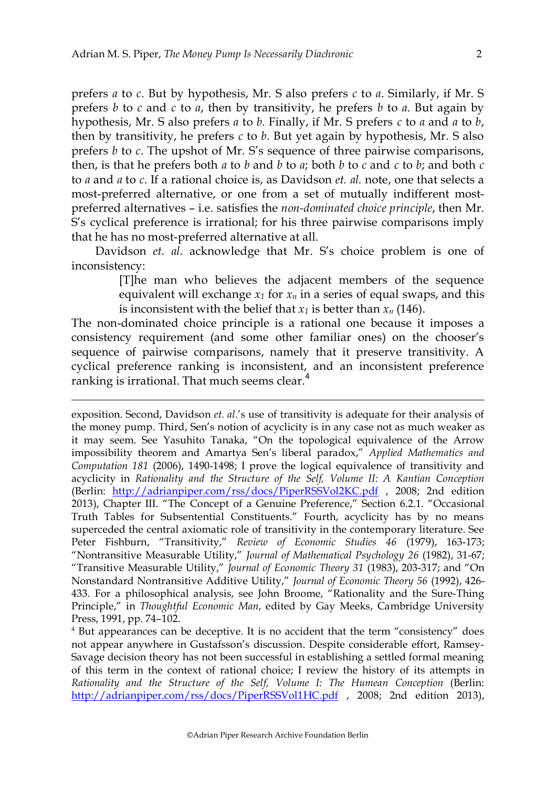$\overline{a}$ 

prefers *a* to *c*. But by hypothesis, Mr. S also prefers *c* to *a*. Similarly, if Mr. S prefers *b* to *c* and *c* to *a*, then by transitivity, he prefers *b* to *a*. But again by hypothesis, Mr. S also prefers *a* to *b*. Finally, if Mr. S prefers *c* to *a* and *a* to *b*, then by transitivity, he prefers *c* to *b*. But yet again by hypothesis, Mr. S also prefers *b* to *c*. The upshot of Mr. S's sequence of three pairwise comparisons, then, is that he prefers both *a* to *b* and *b* to *a*; both *b* to *c* and *c* to *b*; and both *c* to *a* and *a* to *c*. If a rational choice is, as Davidson *et. al.* note, one that selects a most-preferred alternative, or one from a set of mutually indifferent mostpreferred alternatives – i.e. satisfies the *non-dominated choice principle*, then Mr. S's cyclical preference is irrational; for his three pairwise comparisons imply that he has no most-preferred alternative at all.

Davidson *et. al.* acknowledge that Mr. S's choice problem is one of inconsistency:

> [T]he man who believes the adjacent members of the sequence equivalent will exchange  $x_1$  for  $x_n$  in a series of equal swaps, and this is inconsistent with the belief that  $x_1$  is better than  $x_n$  (146).

The non-dominated choice principle is a rational one because it imposes a consistency requirement (and some other familiar ones) on the chooser's sequence of pairwise comparisons, namely that it preserve transitivity. A cyclical preference ranking is inconsistent, and an inconsistent preference ranking is irrational. That much seems clear.<sup>4</sup>

exposition. Second, Davidson *et. al.*'s use of transitivity is adequate for their analysis of the money pump. Third, Sen's notion of acyclicity is in any case not as much weaker as it may seem. See Yasuhito Tanaka, "On the topological equivalence of the Arrow impossibility theorem and Amartya Sen's liberal paradox," *Applied Mathematics and Computation 181* (2006), 1490-1498; I prove the logical equivalence of transitivity and acyclicity in *Rationality and the Structure of the Self, Volume II: A Kantian Conception* (Berlin: http://adrianpiper.com/rss/docs/PiperRSSVol2KC.pdf , 2008; 2nd edition 2013), Chapter III. "The Concept of a Genuine Preference," Section 6.2.1. "Occasional Truth Tables for Subsentential Constituents." Fourth, acyclicity has by no means superceded the central axiomatic role of transitivity in the contemporary literature. See Peter Fishburn, "Transitivity," *Review of Economic Studies 46* (1979), 163-173; "Nontransitive Measurable Utility," *Journal of Mathematical Psychology 26* (1982), 31-67; "Transitive Measurable Utility," *Journal of Economic Theory 31* (1983), 203-317; and "On Nonstandard Nontransitive Additive Utility," *Journal of Economic Theory 56* (1992), 426- 433. For a philosophical analysis, see John Broome, "Rationality and the Sure-Thing Principle," in *Thoughtful Economic Man*, edited by Gay Meeks, Cambridge University Press, 1991, pp. 74–102.

<sup>4</sup> But appearances can be deceptive. It is no accident that the term "consistency" does not appear anywhere in Gustafsson's discussion. Despite considerable effort, Ramsey-Savage decision theory has not been successful in establishing a settled formal meaning of this term in the context of rational choice; I review the history of its attempts in *Rationality and the Structure of the Self, Volume I: The Humean Conception* (Berlin: http://adrianpiper.com/rss/docs/PiperRSSVol1HC.pdf , 2008; 2nd edition 2013),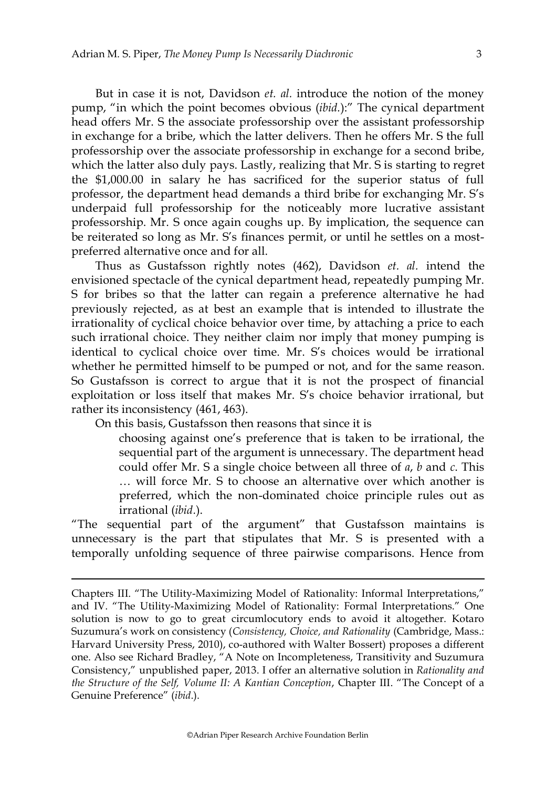But in case it is not, Davidson *et. al.* introduce the notion of the money pump, "in which the point becomes obvious (*ibid.*):" The cynical department head offers Mr. S the associate professorship over the assistant professorship in exchange for a bribe, which the latter delivers. Then he offers Mr. S the full professorship over the associate professorship in exchange for a second bribe, which the latter also duly pays. Lastly, realizing that Mr. S is starting to regret the \$1,000.00 in salary he has sacrificed for the superior status of full professor, the department head demands a third bribe for exchanging Mr. S's underpaid full professorship for the noticeably more lucrative assistant professorship. Mr. S once again coughs up. By implication, the sequence can be reiterated so long as Mr. S's finances permit, or until he settles on a mostpreferred alternative once and for all.

Thus as Gustafsson rightly notes (462), Davidson *et. al.* intend the envisioned spectacle of the cynical department head, repeatedly pumping Mr. S for bribes so that the latter can regain a preference alternative he had previously rejected, as at best an example that is intended to illustrate the irrationality of cyclical choice behavior over time, by attaching a price to each such irrational choice. They neither claim nor imply that money pumping is identical to cyclical choice over time. Mr. S's choices would be irrational whether he permitted himself to be pumped or not, and for the same reason. So Gustafsson is correct to argue that it is not the prospect of financial exploitation or loss itself that makes Mr. S's choice behavior irrational, but rather its inconsistency (461, 463).

On this basis, Gustafsson then reasons that since it is

 $\overline{a}$ 

choosing against one's preference that is taken to be irrational, the sequential part of the argument is unnecessary. The department head could offer Mr. S a single choice between all three of *a*, *b* and *c*. This … will force Mr. S to choose an alternative over which another is preferred, which the non-dominated choice principle rules out as irrational (*ibid.*).

"The sequential part of the argument" that Gustafsson maintains is unnecessary is the part that stipulates that Mr. S is presented with a temporally unfolding sequence of three pairwise comparisons. Hence from

Chapters III. "The Utility-Maximizing Model of Rationality: Informal Interpretations," and IV. "The Utility-Maximizing Model of Rationality: Formal Interpretations." One solution is now to go to great circumlocutory ends to avoid it altogether. Kotaro Suzumura's work on consistency (*Consistency, Choice, and Rationality* (Cambridge, Mass.: Harvard University Press, 2010), co-authored with Walter Bossert) proposes a different one. Also see Richard Bradley, "A Note on Incompleteness, Transitivity and Suzumura Consistency," unpublished paper, 2013. I offer an alternative solution in *Rationality and the Structure of the Self, Volume II: A Kantian Conception*, Chapter III. "The Concept of a Genuine Preference" (*ibid*.).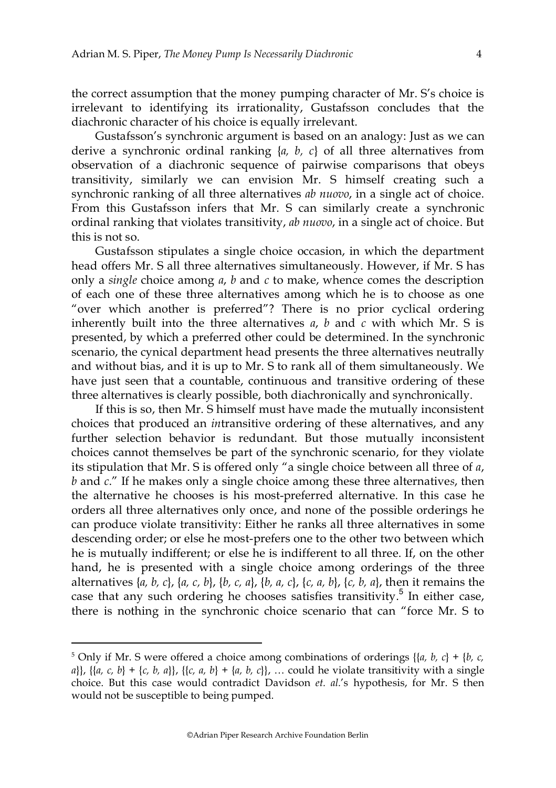the correct assumption that the money pumping character of Mr. S's choice is irrelevant to identifying its irrationality, Gustafsson concludes that the diachronic character of his choice is equally irrelevant.

Gustafsson's synchronic argument is based on an analogy: Just as we can derive a synchronic ordinal ranking  $\{a, b, c\}$  of all three alternatives from observation of a diachronic sequence of pairwise comparisons that obeys transitivity, similarly we can envision Mr. S himself creating such a synchronic ranking of all three alternatives *ab nuovo*, in a single act of choice. From this Gustafsson infers that Mr. S can similarly create a synchronic ordinal ranking that violates transitivity, *ab nuovo*, in a single act of choice. But this is not so.

Gustafsson stipulates a single choice occasion, in which the department head offers Mr. S all three alternatives simultaneously. However, if Mr. S has only a *single* choice among *a*, *b* and *c* to make, whence comes the description of each one of these three alternatives among which he is to choose as one "over which another is preferred"? There is no prior cyclical ordering inherently built into the three alternatives  $a$ ,  $b$  and  $c$  with which Mr. S is presented, by which a preferred other could be determined. In the synchronic scenario, the cynical department head presents the three alternatives neutrally and without bias, and it is up to Mr. S to rank all of them simultaneously. We have just seen that a countable, continuous and transitive ordering of these three alternatives is clearly possible, both diachronically and synchronically.

If this is so, then Mr. S himself must have made the mutually inconsistent choices that produced an *in*transitive ordering of these alternatives, and any further selection behavior is redundant. But those mutually inconsistent choices cannot themselves be part of the synchronic scenario, for they violate its stipulation that Mr. S is offered only "a single choice between all three of *a*, *b* and *c*." If he makes only a single choice among these three alternative*s*, then the alternative he chooses is his most-preferred alternative. In this case he orders all three alternatives only once, and none of the possible orderings he can produce violate transitivity: Either he ranks all three alternatives in some descending order; or else he most-prefers one to the other two between which he is mutually indifferent; or else he is indifferent to all three. If, on the other hand, he is presented with a single choice among orderings of the three alternatives {*a, b, c*}, {*a, c, b*}, {*b, c, a*}, {*b, a, c*}, {*c, a, b*}, {*c, b, a*}, then it remains the case that any such ordering he chooses satisfies transitivity.<sup>5</sup> In either case, there is nothing in the synchronic choice scenario that can "force Mr. S to

 <sup>5</sup> <sup>5</sup> Only if Mr. S were offered a choice among combinations of orderings {{ $a, b, c$ } + { $b, c$ , *a*}}, {{*a, c, b*} + {*c, b, a*}}, {{*c, a, b*} + {*a, b, c*}}, … could he violate transitivity with a single choice. But this case would contradict Davidson *et. al.*'s hypothesis, for Mr. S then would not be susceptible to being pumped.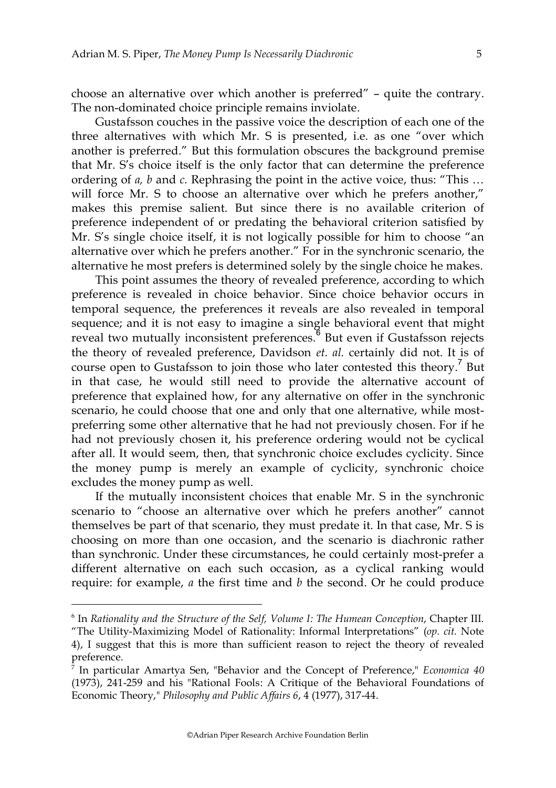choose an alternative over which another is preferred" – quite the contrary. The non-dominated choice principle remains inviolate.

Gustafsson couches in the passive voice the description of each one of the three alternatives with which Mr. S is presented, i.e. as one "over which another is preferred." But this formulation obscures the background premise that Mr. S's choice itself is the only factor that can determine the preference ordering of *a, b* and *c.* Rephrasing the point in the active voice, thus: "This … will force Mr. S to choose an alternative over which he prefers another," makes this premise salient. But since there is no available criterion of preference independent of or predating the behavioral criterion satisfied by Mr. S's single choice itself, it is not logically possible for him to choose "an alternative over which he prefers another." For in the synchronic scenario, the alternative he most prefers is determined solely by the single choice he makes.

This point assumes the theory of revealed preference, according to which preference is revealed in choice behavior. Since choice behavior occurs in temporal sequence, the preferences it reveals are also revealed in temporal sequence; and it is not easy to imagine a single behavioral event that might reveal two mutually inconsistent preferences.<sup>6</sup> But even if Gustafsson rejects the theory of revealed preference, Davidson *et. al.* certainly did not. It is of course open to Gustafsson to join those who later contested this theory.<sup>7</sup> But in that case, he would still need to provide the alternative account of preference that explained how, for any alternative on offer in the synchronic scenario, he could choose that one and only that one alternative, while mostpreferring some other alternative that he had not previously chosen. For if he had not previously chosen it, his preference ordering would not be cyclical after all. It would seem, then, that synchronic choice excludes cyclicity. Since the money pump is merely an example of cyclicity, synchronic choice excludes the money pump as well.

If the mutually inconsistent choices that enable Mr. S in the synchronic scenario to "choose an alternative over which he prefers another" cannot themselves be part of that scenario, they must predate it. In that case, Mr. S is choosing on more than one occasion, and the scenario is diachronic rather than synchronic. Under these circumstances, he could certainly most-prefer a different alternative on each such occasion, as a cyclical ranking would require: for example, *a* the first time and *b* the second. Or he could produce

 <sup>6</sup> <sup>6</sup> In *Rationality and the Structure of the Self, Volume I: The Humean Conception, Chapter III.* "The Utility-Maximizing Model of Rationality: Informal Interpretations" (*op. cit.* Note 4), I suggest that this is more than sufficient reason to reject the theory of revealed preference.

<sup>7</sup> In particular Amartya Sen, "Behavior and the Concept of Preference," *Economica 40* (1973), 241-259 and his "Rational Fools: A Critique of the Behavioral Foundations of Economic Theory," *Philosophy and Public Affairs 6*, 4 (1977), 317-44.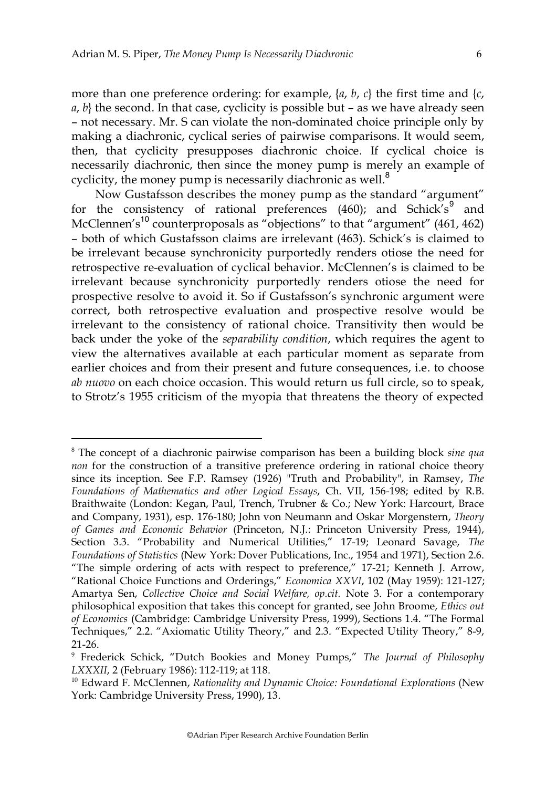more than one preference ordering: for example, {*a*, *b*, *c*} the first time and {*c*,  $a, b$ } the second. In that case, cyclicity is possible but – as we have already seen – not necessary. Mr. S can violate the non-dominated choice principle only by making a diachronic, cyclical series of pairwise comparisons. It would seem, then, that cyclicity presupposes diachronic choice. If cyclical choice is necessarily diachronic, then since the money pump is merely an example of cyclicity, the money pump is necessarily diachronic as well.<sup>8</sup>

Now Gustafsson describes the money pump as the standard "argument" for the consistency of rational preferences (460); and Schick's<sup>9</sup> and McClennen's<sup>10</sup> counterproposals as "objections" to that "argument" (461, 462) – both of which Gustafsson claims are irrelevant (463). Schick's is claimed to be irrelevant because synchronicity purportedly renders otiose the need for retrospective re-evaluation of cyclical behavior. McClennen's is claimed to be irrelevant because synchronicity purportedly renders otiose the need for prospective resolve to avoid it. So if Gustafsson's synchronic argument were correct, both retrospective evaluation and prospective resolve would be irrelevant to the consistency of rational choice. Transitivity then would be back under the yoke of the *separability condition*, which requires the agent to view the alternatives available at each particular moment as separate from earlier choices and from their present and future consequences, i.e. to choose *ab nuovo* on each choice occasion. This would return us full circle, so to speak, to Strotz's 1955 criticism of the myopia that threatens the theory of expected

 <sup>8</sup> The concept of a diachronic pairwise comparison has been a building block *sine qua non* for the construction of a transitive preference ordering in rational choice theory since its inception. See F.P. Ramsey (1926) "Truth and Probability", in Ramsey, *The Foundations of Mathematics and other Logical Essays*, Ch. VII, 156-198; edited by R.B. Braithwaite (London: Kegan, Paul, Trench, Trubner & Co.; New York: Harcourt, Brace and Company, 1931), esp. 176-180; John von Neumann and Oskar Morgenstern, *Theory of Games and Economic Behavior* (Princeton, N.J.: Princeton University Press, 1944), Section 3.3. "Probability and Numerical Utilities," 17-19; Leonard Savage, *The Foundations of Statistics* (New York: Dover Publications, Inc., 1954 and 1971), Section 2.6. "The simple ordering of acts with respect to preference," 17-21; Kenneth J. Arrow, "Rational Choice Functions and Orderings," *Economica XXVI*, 102 (May 1959): 121-127; Amartya Sen, *Collective Choice and Social Welfare, op.cit.* Note 3. For a contemporary philosophical exposition that takes this concept for granted, see John Broome, *Ethics out of Economics* (Cambridge: Cambridge University Press, 1999), Sections 1.4. "The Formal Techniques," 2.2. "Axiomatic Utility Theory," and 2.3. "Expected Utility Theory," 8-9, 21-26.

<sup>9</sup> Frederick Schick, "Dutch Bookies and Money Pumps," *The Journal of Philosophy LXXXII*, 2 (February 1986): 112-119; at 118.

<sup>10</sup> Edward F. McClennen, *Rationality and Dynamic Choice: Foundational Explorations* (New York: Cambridge University Press, 1990), 13.